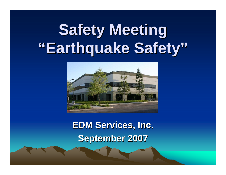# **Safety Meeting Safety Meeting "Earthquake Safety Earthquake Safety "**



**EDM Services, Inc. EDM Services, Inc. September 2007 September 2007**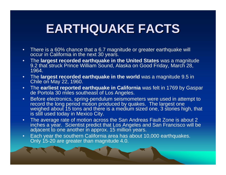# **EARTHQUAKE FACTS EARTHQUAKE FACTS**

- $\bullet$  There is a 60% chance that a 6.7 magnitude or greater earthquake will occur in California in the next 30 years.
- • The **largest recorded earthquake in the United States** was a magnitude 9.2 that struck Prince William Sound, Alaska on Good Friday, March 28, 1964.
- $\bullet$  The **largest recorded earthquake in the world** was a magnitude 9.5 in Chile on May 22, 1960.
- $\bullet$  The **earliest reported earthquake in California** was felt in 1769 by Gaspar de Portola 30 miles southeast of Los Angeles.
- • Before electronics, spring-pendulum seismometers were used in attempt to record the long period motion produced by quakes. The largest one weighed about 15 tons and there is a medium sized one, 3 stories high, that is still used today in Mexico City.
- $\bullet$  The average rate of motion across the San Andreas Fault Zone is about 2 inches a year. Scientist predict that Los Angeles and San Francisco will be adjacent to one another in approx. 15 million years.
- • Each year the southern California area has about 10,000 earthquakes. Only 15-20 are greater than magnitude 4.0.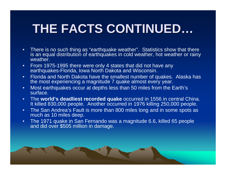# **THE FACTS CONTINUED THE FACTS CONTINUED …**

- • There is no such thing as "earthquake weather". Statistics show that there is an equal distribution of earthquakes in cold weather, hot weather or rainy weather.
- • From 1975-1995 there were only 4 states that did not have any earthquakes-Florida, Iowa North Dakota and Wisconsin.
- • Florida and North Dakota have the smallest number of quakes. Alaska has the most experiencing a magnitude 7 quake almost every year.
- • Most earthquakes occur at depths less than 50 miles from the Earth's surface.
- • The **world's deadliest recorded quake** occurred in 1556 in central China. It killed 830,000 people. Another occurred in 1976 killing 250,000 people.
- • The San Andrea's Fault is more than 800 miles long and in some spots as much as 10 miles deep.
- •The 1971 quake in San Fernando was a magnitude 6.6, killed 65 people and did over \$505 million in damage.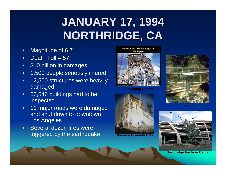# **JANUARY 17, 1994 JANUARY 17, 1994 NORTHRIDGE, CA NORTHRIDGE, CA**

- $\bullet$ Magnitude of 6.7
- •Death Toll =  $57$
- •\$10 billion in damages
- •1,500 people seriously injured
- • 12,500 structures were heavily damaged
- • 66,546 buildings had to be inspected
- • 11 major roads were damaged and shut down to downtown Los Angeles
- • Several dozen fires were triggered by the earthquake

Effects of the 1994 Northridge, CA, **Earthquake** 



**Shopping Center**



**Kaiser – Granada Hills**







**Northridge Fashion Center**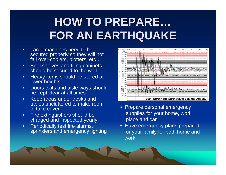# **HOW TO PREPARE HOW TO PREPARE … FOR AN EARTHQUAKE FOR AN EARTHQUAKE**

- • Large machines need to be secured properly so they will not fall over-copiers, plotters, etc...
- •• Bookshelves and filing cabinets should be secured to the wall
- • Heavy items should be stored at lower heights
- • Doors exits and aisle ways should be kept clear at all times
- • Keep areas under desks and tables uncluttered to make room to take cover
- • Fire extinguishers should be charged and inspected yearly
- • Periodically test fire alarms, sprinklers and emergency lighting



- Prepare personal emergency supplies for your home, work place and car
- Have emergency plans prepared for your family for both home and work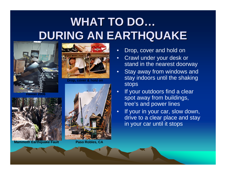# **WHAT TO DO… DURING AN EARTHQUAKE DURING AN EARTHQUAKE**



**Hawaii 2006**



**Drop, cover & hold on**



**Paso Robles, CA**

**Mammoth Earthquake Fault**

•Drop, cover and hold on

- • Crawl under your desk or stand in the nearest doorway
- •**Stay away from windows and** stay indoors until the shaking stops
- • If your outdoors find a clear spot away from buildings, tree's and power lines
- • If your in your car, slow down, drive to a clear place and stay in your car until it stops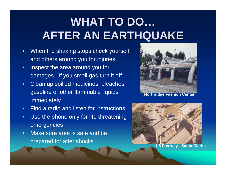# **WHAT TO DO… AFTER AN EARTHQUAKE AFTER AN EARTHQUAKE**

- • When the shaking stops check yourself and others around you for injuries
- • Inspect the area around you for damages. If you smell gas turn it off
- •Clean up spilled medicines, bleaches, gasoline or other flammable liquids immediately
- $\bullet$ • Find a radio and listen for instructions
- $\bullet$  Use the phone only for life threatening emergencies
- • Make sure area is safe and be prepared for after shocks



**Northridge Fashion Center**

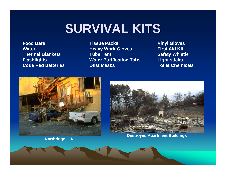# **SURVIVAL KITS SURVIVAL KITS**

**Food Bars Tissue Packs Vinyl Gloves Water Heavy Work Gloves First Aid Kit Thermal Blankets Tube Tent Safety Whistle Flashlights Water Purification Tabs Light sticks Code Red Batteries Dust Masks Toilet Chemicals**





**Northridge, CA Note that the CA Destroyed Apartment Buildings**